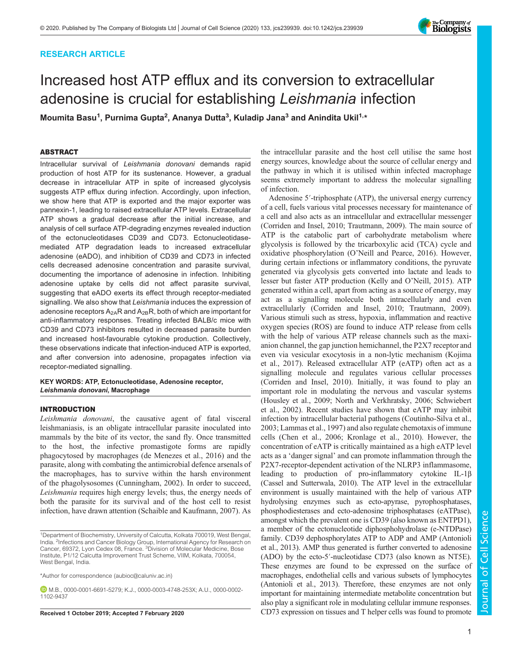## RESEARCH ARTICLE

# Increased host ATP efflux and its conversion to extracellular adenosine is crucial for establishing Leishmania infection

Moumita Basu<sup>1</sup>, Purnima Gupta<sup>2</sup>, Ananya Dutta<sup>3</sup>, Kuladip Jana<sup>3</sup> and Anindita Ukil<sup>1,</sup>\*

## ABSTRACT

Intracellular survival of Leishmania donovani demands rapid production of host ATP for its sustenance. However, a gradual decrease in intracellular ATP in spite of increased glycolysis suggests ATP efflux during infection. Accordingly, upon infection, we show here that ATP is exported and the major exporter was pannexin-1, leading to raised extracellular ATP levels. Extracellular ATP shows a gradual decrease after the initial increase, and analysis of cell surface ATP-degrading enzymes revealed induction of the ectonucleotidases CD39 and CD73. Ectonucleotidasemediated ATP degradation leads to increased extracellular adenosine (eADO), and inhibition of CD39 and CD73 in infected cells decreased adenosine concentration and parasite survival, documenting the importance of adenosine in infection. Inhibiting adenosine uptake by cells did not affect parasite survival, suggesting that eADO exerts its effect through receptor-mediated signalling. We also show that Leishmania induces the expression of adenosine receptors  $A_{2A}R$  and  $A_{2B}R$ , both of which are important for anti-inflammatory responses. Treating infected BALB/c mice with CD39 and CD73 inhibitors resulted in decreased parasite burden and increased host-favourable cytokine production. Collectively, these observations indicate that infection-induced ATP is exported, and after conversion into adenosine, propagates infection via receptor-mediated signalling.

#### KEY WORDS: ATP, Ectonucleotidase, Adenosine receptor, Leishmania donovani, Macrophage

## INTRODUCTION

Leishmania donovani, the causative agent of fatal visceral leishmaniasis, is an obligate intracellular parasite inoculated into mammals by the bite of its vector, the sand fly. Once transmitted to the host, the infective promastigote forms are rapidly phagocytosed by macrophages (de Menezes et al., 2016) and the parasite, along with combating the antimicrobial defence arsenals of the macrophages, has to survive within the harsh environment of the phagolysosomes (Cunningham, 2002). In order to succeed, Leishmania requires high energy levels; thus, the energy needs of both the parasite for its survival and of the host cell to resist infection, have drawn attention (Schaible and Kaufmann, 2007). As

\*Author for correspondence (aubioc@caluniv.ac.in)

the intracellular parasite and the host cell utilise the same host energy sources, knowledge about the source of cellular energy and the pathway in which it is utilised within infected macrophage seems extremely important to address the molecular signalling of infection.

Adenosine 5′-triphosphate (ATP), the universal energy currency of a cell, fuels various vital processes necessary for maintenance of a cell and also acts as an intracellular and extracellular messenger (Corriden and Insel, 2010; Trautmann, 2009). The main source of ATP is the catabolic part of carbohydrate metabolism where glycolysis is followed by the tricarboxylic acid (TCA) cycle and oxidative phosphorylation (O'Neill and Pearce, 2016). However, during certain infections or inflammatory conditions, the pyruvate generated via glycolysis gets converted into lactate and leads to lesser but faster ATP production (Kelly and O'Neill, 2015). ATP generated within a cell, apart from acting as a source of energy, may act as a signalling molecule both intracellularly and even extracellularly (Corriden and Insel, 2010; Trautmann, 2009). Various stimuli such as stress, hypoxia, inflammation and reactive oxygen species (ROS) are found to induce ATP release from cells with the help of various ATP release channels such as the maxianion channel, the gap junction hemichannel, the P2X7 receptor and even via vesicular exocytosis in a non-lytic mechanism (Kojima et al., 2017). Released extracellular ATP (eATP) often act as a signalling molecule and regulates various cellular processes (Corriden and Insel, 2010). Initially, it was found to play an important role in modulating the nervous and vascular systems (Housley et al., 2009; North and Verkhratsky, 2006; Schwiebert et al., 2002). Recent studies have shown that eATP may inhibit infection by intracellular bacterial pathogens (Coutinho-Silva et al., 2003; Lammas et al., 1997) and also regulate chemotaxis of immune cells (Chen et al., 2006; Kronlage et al., 2010). However, the concentration of eATP is critically maintained as a high eATP level acts as a 'danger signal' and can promote inflammation through the P2X7-receptor-dependent activation of the NLRP3 inflammasome, leading to production of pro-inflammatory cytokine IL-1β (Cassel and Sutterwala, 2010). The ATP level in the extracellular environment is usually maintained with the help of various ATP hydrolysing enzymes such as ecto-apyrase, pyrophosphatases, phosphodiesterases and ecto-adenosine triphosphatases (eATPase), amongst which the prevalent one is CD39 (also known as ENTPD1), a member of the ectonucleotide diphosphohydrolase (e-NTDPase) family. CD39 dephosphorylates ATP to ADP and AMP (Antonioli et al., 2013). AMP thus generated is further converted to adenosine (ADO) by the ecto-5′-nucleotidase CD73 (also known as NT5E). These enzymes are found to be expressed on the surface of macrophages, endothelial cells and various subsets of lymphocytes (Antonioli et al., 2013). Therefore, these enzymes are not only important for maintaining intermediate metabolite concentration but also play a significant role in modulating cellular immune responses. Received 1 October 2019; Accepted 7 February 2020 CD73 expression on tissues and T helper cells was found to promote



<sup>1</sup>Department of Biochemistry, University of Calcutta, Kolkata 700019, West Bengal, India. <sup>2</sup> Infections and Cancer Biology Group, International Agency for Research on Cancer, 69372, Lyon Cedex 08, France. <sup>3</sup>Division of Molecular Medicine, Bose Institute, P1/12 Calcutta Improvement Trust Scheme, VIIM, Kolkata, 700054, West Bengal, India.

M.B., 0000-0001-6691-5279; K.J., 0000-0003-4748-253X; A.U., 0000-0002- 1102-9437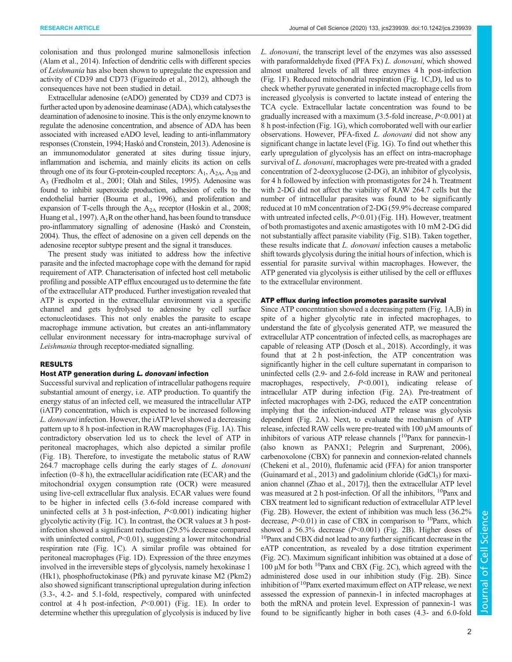colonisation and thus prolonged murine salmonellosis infection (Alam et al., 2014). Infection of dendritic cells with different species of Leishmania has also been shown to upregulate the expression and activity of CD39 and CD73 (Figueiredo et al., 2012), although the consequences have not been studied in detail.

Extracellular adenosine (eADO) generated by CD39 and CD73 is further acted upon by adenosine deaminase (ADA), which catalyses the deamination of adenosine to inosine. This is the only enzyme known to regulate the adenosine concentration, and absence of ADA has been associated with increased eADO level, leading to anti-inflammatory responses (Cronstein, 1994; Haskó and Cronstein, 2013). Adenosine is an immunomodulator generated at sites during tissue injury, inflammation and ischemia, and mainly elicits its action on cells through one of its four G-protein-coupled receptors:  $A_1$ ,  $A_{2A}$ ,  $A_{2B}$  and A3 (Fredholm et al., 2001; Olah and Stiles, 1995). Adenosine was found to inhibit superoxide production, adhesion of cells to the endothelial barrier (Bouma et al., 1996), and proliferation and expansion of T-cells through the A<sub>2A</sub> receptor (Hoskin et al., 2008; Huang et al., 1997).  $A_1R$  on the other hand, has been found to transduce pro-inflammatory signalling of adenosine (Haskó and Cronstein, 2004). Thus, the effect of adenosine on a given cell depends on the adenosine receptor subtype present and the signal it transduces.

The present study was initiated to address how the infective parasite and the infected macrophage cope with the demand for rapid requirement of ATP. Characterisation of infected host cell metabolic profiling and possible ATP efflux encouraged us to determine the fate of the extracellular ATP produced. Further investigation revealed that ATP is exported in the extracellular environment via a specific channel and gets hydrolysed to adenosine by cell surface ectonucleotidases. This not only enables the parasite to escape macrophage immune activation, but creates an anti-inflammatory cellular environment necessary for intra-macrophage survival of Leishmania through receptor-mediated signalling.

## RESULTS

## Host ATP generation during L. donovani infection

Successful survival and replication of intracellular pathogens require substantial amount of energy, i.e. ATP production. To quantify the energy status of an infected cell, we measured the intracellular ATP (iATP) concentration, which is expected to be increased following L. donovani infection. However, the iATP level showed a decreasing pattern up to 8 h post-infection in RAW macrophages (Fig. 1A). This contradictory observation led us to check the level of ATP in peritoneal macrophages, which also depicted a similar profile (Fig. 1B). Therefore, to investigate the metabolic status of RAW 264.7 macrophage cells during the early stages of L. donovani infection (0–8 h), the extracellular acidification rate (ECAR) and the mitochondrial oxygen consumption rate (OCR) were measured using live-cell extracellular flux analysis. ECAR values were found to be higher in infected cells (3.6-fold increase compared with uninfected cells at 3 h post-infection,  $P<0.001$ ) indicating higher glycolytic activity (Fig. 1C). In contrast, the OCR values at 3 h postinfection showed a significant reduction (29.5% decrease compared with uninfected control,  $P<0.01$ ), suggesting a lower mitochondrial respiration rate (Fig. 1C). A similar profile was obtained for peritoneal macrophages (Fig. 1D). Expression of the three enzymes involved in the irreversible steps of glycolysis, namely hexokinase 1 (Hk1), phosphofructokinase (Pfk) and pyruvate kinase M2 (Pkm2) also showed significant transcriptional upregulation during infection (3.3-, 4.2- and 5.1-fold, respectively, compared with uninfected control at 4 h post-infection,  $P<0.001$ ) (Fig. 1E). In order to determine whether this upregulation of glycolysis is induced by live

L. donovani, the transcript level of the enzymes was also assessed with paraformaldehyde fixed (PFA Fx) *L. donovani*, which showed almost unaltered levels of all three enzymes 4 h post-infection (Fig. 1F). Reduced mitochondrial respiration (Fig. 1C,D), led us to check whether pyruvate generated in infected macrophage cells from increased glycolysis is converted to lactate instead of entering the TCA cycle. Extracellular lactate concentration was found to be gradually increased with a maximum  $(3.5\text{-}fold \text{ increase}, P<0.001)$  at 8 h post-infection (Fig. 1G), which corroborated well with our earlier observations. However, PFA-fixed L. donovani did not show any significant change in lactate level (Fig. 1G). To find out whether this early upregulation of glycolysis has an effect on intra-macrophage survival of L. *donovani*, macrophages were pre-treated with a graded concentration of 2-deoxyglucose (2-DG), an inhibitor of glycolysis, for 4 h followed by infection with promastigotes for 24 h. Treatment with 2-DG did not affect the viability of RAW 264.7 cells but the number of intracellular parasites was found to be significantly reduced at 10 mM concentration of 2-DG (59.9% decrease compared with untreated infected cells,  $P<0.01$ ) (Fig. 1H). However, treatment of both promastigotes and axenic amastigotes with 10 mM 2-DG did not substantially affect parasite viability (Fig. S1B). Taken together, these results indicate that L. donovani infection causes a metabolic shift towards glycolysis during the initial hours of infection, which is essential for parasite survival within macrophages. However, the ATP generated via glycolysis is either utilised by the cell or effluxes to the extracellular environment.

## ATP efflux during infection promotes parasite survival

Since ATP concentration showed a decreasing pattern (Fig. 1A,B) in spite of a higher glycolytic rate in infected macrophages, to understand the fate of glycolysis generated ATP, we measured the extracellular ATP concentration of infected cells, as macrophages are capable of releasing ATP (Dosch et al., 2018). Accordingly, it was found that at 2 h post-infection, the ATP concentration was significantly higher in the cell culture supernatant in comparison to uninfected cells (2.9- and 2.6-fold increase in RAW and peritoneal macrophages, respectively, P<0.001), indicating release of intracellular ATP during infection (Fig. 2A). Pre-treatment of infected macrophages with 2-DG, reduced the eATP concentration implying that the infection-induced ATP release was glycolysis dependent (Fig. 2A). Next, to evaluate the mechanism of ATP release, infected RAW cells were pre-treated with 100 µM amounts of inhibitors of various ATP release channels  $[{}^{10}$ Panx for pannexin-1 (also known as PANX1; Pelegrin and Surprenant, 2006), carbenoxolone (CBX) for pannexin and connexion-related channels (Chekeni et al., 2010), flufenamic acid (FFA) for anion transporter (Guinamard et al., 2013) and gadolinium chloride  $(GdCl<sub>3</sub>)$  for maxianion channel (Zhao et al., 2017)], then the extracellular ATP level was measured at 2 h post-infection. Of all the inhibitors, <sup>10</sup>Panx and CBX treatment led to significant reduction of extracellular ATP level (Fig. 2B). However, the extent of inhibition was much less (36.2% decrease,  $P<0.01$ ) in case of CBX in comparison to <sup>10</sup>Panx, which showed a 56.3% decrease  $(P<0.001)$  (Fig. 2B). Higher doses of <sup>10</sup>Panx and CBX did not lead to any further significant decrease in the eATP concentration, as revealed by a dose titration experiment (Fig. 2C). Maximum significant inhibition was obtained at a dose of 100  $\mu$ M for both <sup>10</sup>Panx and CBX (Fig. 2C), which agreed with the administered dose used in our inhibition study (Fig. 2B). Since inhibition of <sup>10</sup>Panx exerted maximum effect on ATP release, we next assessed the expression of pannexin-1 in infected macrophages at both the mRNA and protein level. Expression of pannexin-1 was found to be significantly higher in both cases (4.3- and 6.0-fold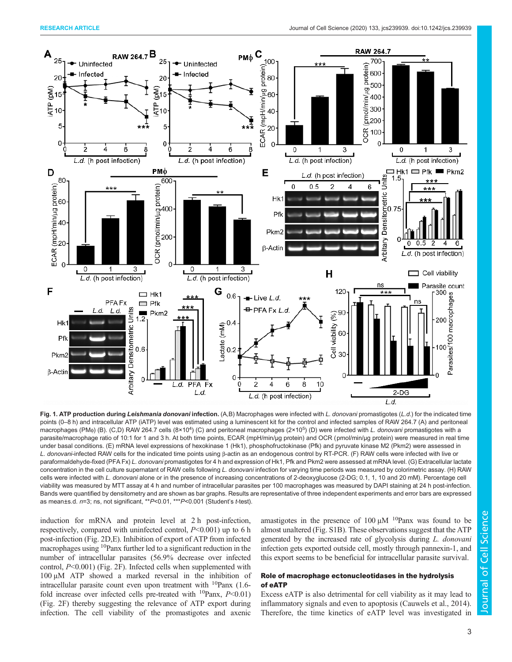

Fig. 1. ATP production during Leishmania donovani infection. (A,B) Macrophages were infected with L. donovani promastigotes (L.d.) for the indicated time points (0–8 h) and intracellular ATP (iATP) level was estimated using a luminescent kit for the control and infected samples of RAW 264.7 (A) and peritoneal macrophages (PM<sub>®</sub>) (B). (C,D) RAW 264.7 cells (8×10<sup>4</sup>) (C) and peritoneal macrophages (2×10<sup>5</sup>) (D) were infected with *L. donovani* promastigotes with a parasite/macrophage ratio of 10:1 for 1 and 3 h. At both time points, ECAR (mpH/min/μg protein) and OCR (pmol/min/μg protein) were measured in real time under basal conditions. (E) mRNA level expressions of hexokinase 1 (Hk1), phosphofructokinase (Pfk) and pyruvate kinase M2 (Pkm2) were assessed in L. donovani-infected RAW cells for the indicated time points using β-actin as an endogenous control by RT-PCR. (F) RAW cells were infected with live or paraformaldehyde-fixed (PFA Fx) L. donovani promastigotes for 4 h and expression of Hk1, Pfk and Pkm2 were assessed at mRNA level. (G) Extracellular lactate concentration in the cell culture supernatant of RAW cells following L. donovani infection for varying time periods was measured by colorimetric assay. (H) RAW cells were infected with L. donovani alone or in the presence of increasing concentrations of 2-deoxyglucose (2-DG; 0.1, 1, 10 and 20 mM). Percentage cell viability was measured by MTT assay at 4 h and number of intracellular parasites per 100 macrophages was measured by DAPI staining at 24 h post-infection. Bands were quantified by densitometry and are shown as bar graphs. Results are representative of three independent experiments and error bars are expressed as mean±s.d. n=3; ns, not significant, \*\*P<0.01, \*\*\*P<0.001 (Student's t-test).

induction for mRNA and protein level at 2 h post-infection, respectively, compared with uninfected control,  $P<0.001$ ) up to 6 h post-infection (Fig. 2D,E). Inhibition of export of ATP from infected macrophages using <sup>10</sup>Panx further led to a significant reduction in the number of intracellular parasites (56.9% decrease over infected control, P<0.001) (Fig. 2F). Infected cells when supplemented with 100 µM ATP showed a marked reversal in the inhibition of intracellular parasite count even upon treatment with  $^{10}$ Panx (1.6fold increase over infected cells pre-treated with  $^{10}$ Panx,  $P<0.01$ ) (Fig. 2F) thereby suggesting the relevance of ATP export during infection. The cell viability of the promastigotes and axenic amastigotes in the presence of  $100 \mu M$  <sup>10</sup>Panx was found to be almost unaltered (Fig. S1B). These observations suggest that the ATP generated by the increased rate of glycolysis during L. donovani infection gets exported outside cell, mostly through pannexin-1, and this export seems to be beneficial for intracellular parasite survival.

## Role of macrophage ectonucleotidases in the hydrolysis of eATP

Excess eATP is also detrimental for cell viability as it may lead to inflammatory signals and even to apoptosis (Cauwels et al., 2014). Therefore, the time kinetics of eATP level was investigated in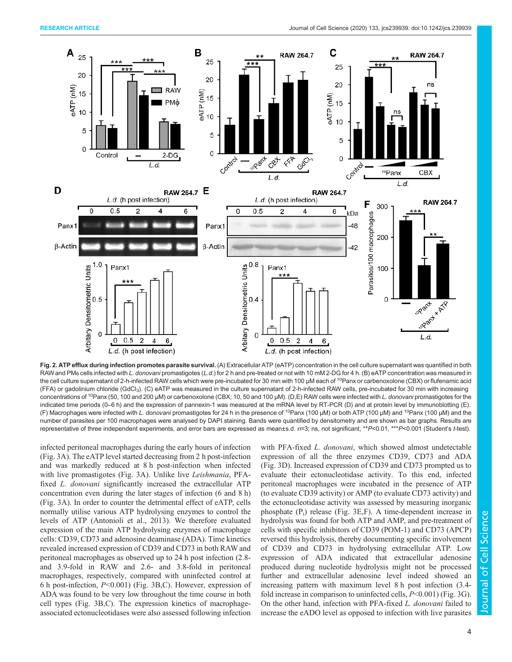![](_page_3_Figure_2.jpeg)

Fig. 2. ATP efflux during infection promotes parasite survival. (A) Extracellular ATP (eATP) concentration in the cell culture supernatant was quantified in both RAW and PM<sub>®</sub> cells infected with L. donovani promastigotes (L.d.) for 2 h and pre-treated or not with 10 mM 2-DG for 4 h. (B) eATP concentration was measured in the cell culture supernatant of 2-h-infected RAW cells which were pre-incubated for 30 min with 100 µM each of <sup>10</sup>Panx or carbenoxolone (CBX) or flufenamic acid (FFA) or gadolinium chloride (GdCl3). (C) eATP was measured in the culture supernatant of 2-h-infected RAW cells, pre-incubated for 30 min with increasing concentrations of <sup>10</sup>Panx (50, 100 and 200 μM) or carbenoxolone (CBX; 10, 50 and 100 μM). (D,E) RAW cells were infected with L. donovani promastigotes for the indicated time periods (0–6 h) and the expression of pannexin-1 was measured at the mRNA level by RT-PCR (D) and at protein level by immunoblotting (E). (F) Macrophages were infected with L. donovani promastigotes for 24 h in the presence of <sup>10</sup>Panx (100 µM) or both ATP (100 µM) and <sup>10</sup>Panx (100 µM) and the number of parasites per 100 macrophages were analysed by DAPI staining. Bands were quantified by densitometry and are shown as bar graphs. Results are representative of three independent experiments, and error bars are expressed as mean±s.d. n=3; ns, not significant, \*\*P<0.01, \*\*\*P<0.001 (Student's t-test).

infected peritoneal macrophages during the early hours of infection (Fig. 3A). The eATP level started decreasing from 2 h post-infection and was markedly reduced at 8 h post-infection when infected with live promastigotes (Fig. 3A). Unlike live Leishmania, PFAfixed L. donovani significantly increased the extracellular ATP concentration even during the later stages of infection (6 and 8 h) (Fig. 3A). In order to counter the detrimental effect of eATP, cells normally utilise various ATP hydrolysing enzymes to control the levels of ATP (Antonioli et al., 2013). We therefore evaluated expression of the main ATP hydrolysing enzymes of macrophage cells: CD39, CD73 and adenosine deaminase (ADA). Time kinetics revealed increased expression of CD39 and CD73 in both RAW and peritoneal macrophages as observed up to 24 h post infection (2.8 and 3.9-fold in RAW and 2.6- and 3.8-fold in peritoneal macrophages, respectively, compared with uninfected control at 6 h post-infection, P<0.001) (Fig. 3B,C). However, expression of ADA was found to be very low throughout the time course in both cell types (Fig. 3B,C). The expression kinetics of macrophageassociated ectonucleotidases were also assessed following infection

with PFA-fixed *L. donovani*, which showed almost undetectable expression of all the three enzymes CD39, CD73 and ADA (Fig. 3D). Increased expression of CD39 and CD73 prompted us to evaluate their ectonucleotidase activity. To this end, infected peritoneal macrophages were incubated in the presence of ATP (to evaluate CD39 activity) or AMP (to evaluate CD73 activity) and the ectonucleotidase activity was assessed by measuring inorganic phosphate (P<sub>i</sub>) release (Fig. 3E,F). A time-dependent increase in hydrolysis was found for both ATP and AMP, and pre-treatment of cells with specific inhibitors of CD39 (POM-1) and CD73 (APCP) reversed this hydrolysis, thereby documenting specific involvement of CD39 and CD73 in hydrolysing extracellular ATP. Low expression of ADA indicated that extracellular adenosine produced during nucleotide hydrolysis might not be processed further and extracellular adenosine level indeed showed an increasing pattern with maximum level 8 h post infection (3.4 fold increase in comparison to uninfected cells,  $P<0.001$ ) (Fig. 3G). On the other hand, infection with PFA-fixed L. donovani failed to increase the eADO level as opposed to infection with live parasites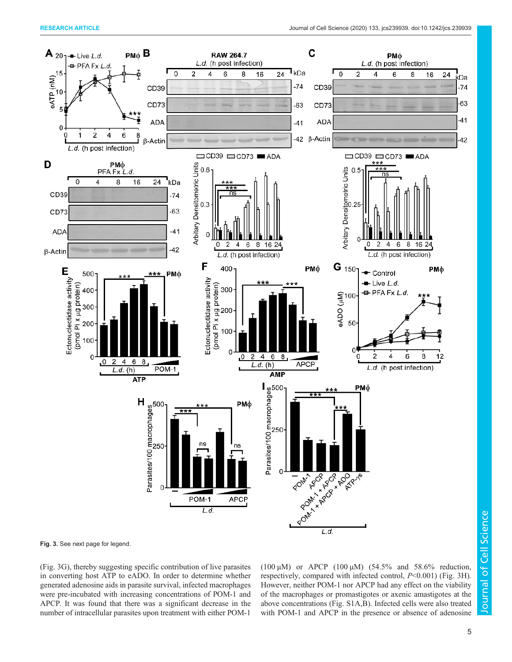![](_page_4_Figure_2.jpeg)

Fig. 3. See next page for legend.

(Fig. 3G), thereby suggesting specific contribution of live parasites in converting host ATP to eADO. In order to determine whether generated adenosine aids in parasite survival, infected macrophages were pre-incubated with increasing concentrations of POM-1 and APCP. It was found that there was a significant decrease in the number of intracellular parasites upon treatment with either POM-1

(100  $\mu$ M) or APCP (100  $\mu$ M) (54.5% and 58.6% reduction, respectively, compared with infected control,  $P<0.001$ ) (Fig. 3H). However, neither POM-1 nor APCP had any effect on the viability of the macrophages or promastigotes or axenic amastigotes at the above concentrations (Fig. S1A,B). Infected cells were also treated with POM-1 and APCP in the presence or absence of adenosine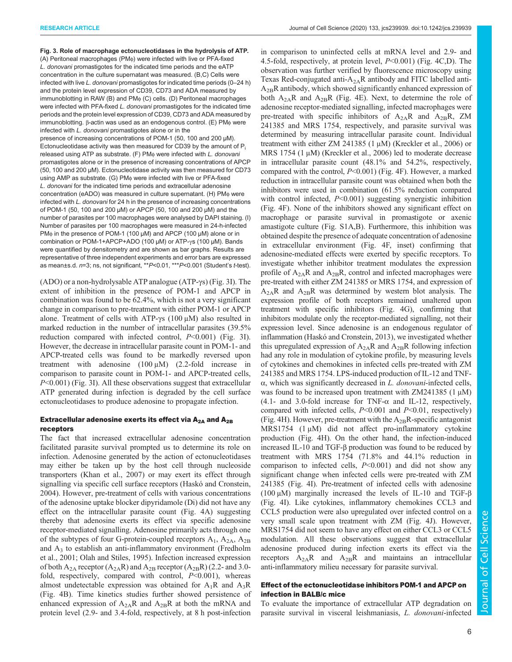Fig. 3. Role of macrophage ectonucleotidases in the hydrolysis of ATP. (A) Peritoneal macrophages (PMφ) were infected with live or PFA-fixed L. donovani promastigotes for the indicated time periods and the eATP concentration in the culture supernatant was measured. (B,C) Cells were infected with live L. donovani promastigotes for indicated time periods (0–24 h) and the protein level expression of CD39, CD73 and ADA measured by immunoblotting in RAW (B) and PMφ (C) cells. (D) Peritoneal macrophages were infected with PFA-fixed L. donovani promastigotes for the indicated time periods and the protein level expression of CD39, CD73 and ADA measured by immunoblotting. β-actin was used as an endogenous control. (E) PM<sub>φ</sub> were infected with L. donovani promastigotes alone or in the presence of increasing concentrations of POM-1 (50, 100 and 200 μM). Ectonucleotidase activity was then measured for CD39 by the amount of  $P_i$ released using ATP as substrate. (F) PMφ were infected with L. donovani promastigotes alone or in the presence of increasing concentrations of APCP (50, 100 and 200 μM). Ectonucleotidase activity was then measured for CD73 using AMP as substrate. (G) PMφ were infected with live or PFA-fixed L. donovani for the indicated time periods and extracellular adenosine concentration (eADO) was measured in culture supernatant. (H) PMφ were infected with L. donovani for 24 h in the presence of increasing concentrations of POM-1 (50, 100 and 200 μM) or APCP (50, 100 and 200 μM) and the number of parasites per 100 macrophages were analysed by DAPI staining. (I) Number of parasites per 100 macrophages were measured in 24-h-infected PMφ in the presence of POM-1 (100 μM) and APCP (100 μM) alone or in combination or POM-1+APCP+ADO (100 μM) or ATP-γs (100 μM). Bands were quantified by densitometry and are shown as bar graphs. Results are representative of three independent experiments and error bars are expressed as mean±s.d. n=3; ns, not significant, \*\*P<0.01, \*\*\*P<0.001 (Student's t-test).

(ADO) or a non-hydrolysable ATP analogue (ATP-γs) (Fig. 3I). The extent of inhibition in the presence of POM-1 and APCP in combination was found to be 62.4%, which is not a very significant change in comparison to pre-treatment with either POM-1 or APCP alone. Treatment of cells with ATP-γs (100 μM) also resulted in marked reduction in the number of intracellular parasites (39.5% reduction compared with infected control,  $P<0.001$ ) (Fig. 3I). However, the decrease in intracellular parasite count in POM-1- and APCP-treated cells was found to be markedly reversed upon treatment with adenosine (100 μM) (2.2-fold increase in comparison to parasite count in POM-1- and APCP-treated cells,  $P<0.001$ ) (Fig. 3I). All these observations suggest that extracellular ATP generated during infection is degraded by the cell surface ectonucleotidases to produce adenosine to propagate infection.

## Extracellular adenosine exerts its effect via  $A_{2A}$  and  $A_{2B}$ receptors

The fact that increased extracellular adenosine concentration facilitated parasite survival prompted us to determine its role on infection. Adenosine generated by the action of ectonucleotidases may either be taken up by the host cell through nucleoside transporters (Khan et al., 2007) or may exert its effect through signalling via specific cell surface receptors (Haskó and Cronstein, 2004). However, pre-treatment of cells with various concentrations of the adenosine uptake blocker dipyridamole (Di) did not have any effect on the intracellular parasite count (Fig. 4A) suggesting thereby that adenosine exerts its effect via specific adenosine receptor-mediated signalling. Adenosine primarily acts through one of the subtypes of four G-protein-coupled receptors  $A_1$ ,  $A_{2A}$ ,  $A_{2B}$ and A<sup>3</sup> to establish an anti-inflammatory environment (Fredholm et al., 2001; Olah and Stiles, 1995). Infection increased expression of both  $A_{2A}$  receptor  $(A_{2A}R)$  and  $A_{2B}$  receptor  $(A_{2B}R)$  (2.2- and 3.0fold, respectively, compared with control,  $P<0.001$ ), whereas almost undetectable expression was obtained for  $A_1R$  and  $A_3R$ (Fig. 4B). Time kinetics studies further showed persistence of enhanced expression of  $A_{2A}R$  and  $A_{2B}R$  at both the mRNA and protein level (2.9- and 3.4-fold, respectively, at 8 h post-infection

in comparison to uninfected cells at mRNA level and 2.9- and 4.5-fold, respectively, at protein level, P<0.001) (Fig. 4C,D). The observation was further verified by fluorescence microscopy using Texas Red-conjugated anti- $A_{2A}R$  antibody and FITC labelled anti- $A_{2B}R$  antibody, which showed significantly enhanced expression of both  $A_{2A}R$  and  $A_{2B}R$  (Fig. 4E). Next, to determine the role of adenosine receptor-mediated signalling, infected macrophages were pre-treated with specific inhibitors of  $A_{2A}R$  and  $A_{2B}R$ , ZM 241385 and MRS 1754, respectively, and parasite survival was determined by measuring intracellular parasite count. Individual treatment with either ZM 241385 (1 μM) (Kreckler et al., 2006) or MRS 1754 (1 μM) (Kreckler et al., 2006) led to moderate decrease in intracellular parasite count (48.1% and 54.2%, respectively, compared with the control,  $P<0.001$ ) (Fig. 4F). However, a marked reduction in intracellular parasite count was obtained when both the inhibitors were used in combination (61.5% reduction compared with control infected,  $P<0.001$ ) suggesting synergistic inhibition (Fig. 4F). None of the inhibitors showed any significant effect on macrophage or parasite survival in promastigote or axenic amastigote culture (Fig. S1A,B). Furthermore, this inhibition was obtained despite the presence of adequate concentration of adenosine in extracellular environment (Fig. 4F, inset) confirming that adenosine-mediated effects were exerted by specific receptors. To investigate whether inhibitor treatment modulates the expression profile of  $A_{2A}R$  and  $A_{2B}R$ , control and infected macrophages were pre-treated with either ZM 241385 or MRS 1754, and expression of  $A_{2A}R$  and  $A_{2B}R$  was determined by western blot analysis. The expression profile of both receptors remained unaltered upon treatment with specific inhibitors (Fig. 4G), confirming that inhibitors modulate only the receptor-mediated signalling, not their expression level. Since adenosine is an endogenous regulator of inflammation (Haskó and Cronstein, 2013), we investigated whether this upregulated expression of  $A_{2A}R$  and  $A_{2B}R$  following infection had any role in modulation of cytokine profile, by measuring levels of cytokines and chemokines in infected cells pre-treated with ZM 241385 and MRS 1754. LPS-induced production of IL-12 and TNF- $\alpha$ , which was significantly decreased in L. *donovani*-infected cells, was found to be increased upon treatment with  $ZM241385$  (1  $\mu$ M) (4.1- and 3.0-fold increase for TNF- $\alpha$  and IL-12, respectively, compared with infected cells,  $P<0.001$  and  $P<0.01$ , respectively) (Fig. 4H). However, pre-treatment with the  $A_{2B}R$ -specific antagonist MRS1754 (1 μM) did not affect pro-inflammatory cytokine production (Fig. 4H). On the other hand, the infection-induced increased IL-10 and TGF-β production was found to be reduced by treatment with MRS 1754 (71.8% and 44.1% reduction in comparison to infected cells,  $P<0.001$ ) and did not show any significant change when infected cells were pre-treated with ZM 241385 (Fig. 4I). Pre-treatment of infected cells with adenosine (100 µM) marginally increased the levels of IL-10 and TGF-β (Fig. 4I). Like cytokines, inflammatory chemokines CCL3 and CCL5 production were also upregulated over infected control on a very small scale upon treatment with ZM (Fig. 4J). However, MRS1754 did not seem to have any effect on either CCL3 or CCL5 modulation. All these observations suggest that extracellular adenosine produced during infection exerts its effect via the receptors  $A_{2A}R$  and  $A_{2B}R$  and maintains an intracellular anti-inflammatory milieu necessary for parasite survival.

## Effect of the ectonucleotidase inhibitors POM-1 and APCP on infection in BALB/c mice

To evaluate the importance of extracellular ATP degradation on parasite survival in visceral leishmaniasis, L. donovani-infected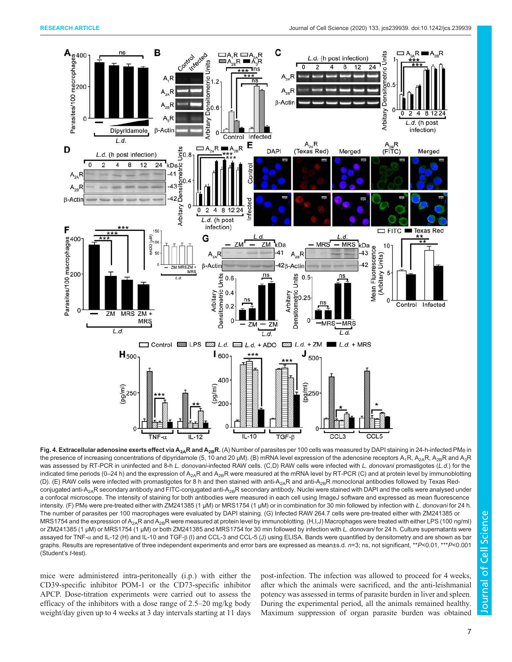![](_page_6_Figure_2.jpeg)

Fig. 4. Extracellular adenosine exerts effect via A<sub>2A</sub>R and A<sub>2B</sub>R. (A) Number of parasites per 100 cells was measured by DAPI staining in 24-h-infected PM<sub>®</sub> in the presence of increasing concentrations of dipyridamole (5, 10 and 20 µM). (B) mRNA level expression of the adenosine receptors  $A_1R$ ,  $A_{2A}R$ ,  $A_{2B}R$  and  $A_3R$ was assessed by RT-PCR in uninfected and 8-h L. donovani-infected RAW cells. (C,D) RAW cells were infected with L. donovani promastigotes (L.d.) for the indicated time periods (0–24 h) and the expression of  $A_{2A}R$  and  $A_{2B}R$  were measured at the mRNA level by RT-PCR (C) and at protein level by immunoblotting (D). (E) RAW cells were infected with promastigotes for 8 h and then stained with anti-A<sub>2A</sub>R and anti-A<sub>2B</sub>R monoclonal antibodies followed by Texas Redconjugated anti-A<sub>2A</sub>R secondary antibody and FITC-conjugated anti-A<sub>2B</sub>R secondary antibody. Nuclei were stained with DAPI and the cells were analysed under a confocal microscope. The intensity of staining for both antibodies were measured in each cell using ImageJ software and expressed as mean fluorescence intensity. (F) PMφ were pre-treated either with ZM241385 (1 μM) or MRS1754 (1 μM) or in combination for 30 min followed by infection with L. donovani for 24 h. The number of parasites per 100 macrophages were evaluated by DAPI staining. (G) Infected RAW 264.7 cells were pre-treated either with ZM241385 or MRS1754 and the expression of A<sub>2A</sub>R and A<sub>2B</sub>R were measured at protein level by immunoblotting. (H,I,J) Macrophages were treated with either LPS (100 ng/ml) or ZM241385 (1 μM) or MRS1754 (1 μM) or both ZM241385 and MRS1754 for 30 min followed by infection with L. donovani for 24 h. Culture supernatants were assayed for TNF-α and IL-12 (H) and IL-10 and TGF-β (I) and CCL-3 and CCL-5 (J) using ELISA. Bands were quantified by densitometry and are shown as bar graphs. Results are representative of three independent experiments and error bars are expressed as mean±s.d. n=3; ns, not significant, \*\*P<0.01, \*\*\*P<0.001 (Student's t-test).

mice were administered intra-peritoneally (i.p.) with either the CD39-specific inhibitor POM-1 or the CD73-specific inhibitor APCP. Dose-titration experiments were carried out to assess the efficacy of the inhibitors with a dose range of 2.5–20 mg/kg body weight/day given up to 4 weeks at 3 day intervals starting at 11 days post-infection. The infection was allowed to proceed for 4 weeks, after which the animals were sacrificed, and the anti-leishmanial potency was assessed in terms of parasite burden in liver and spleen. During the experimental period, all the animals remained healthy. Maximum suppression of organ parasite burden was obtained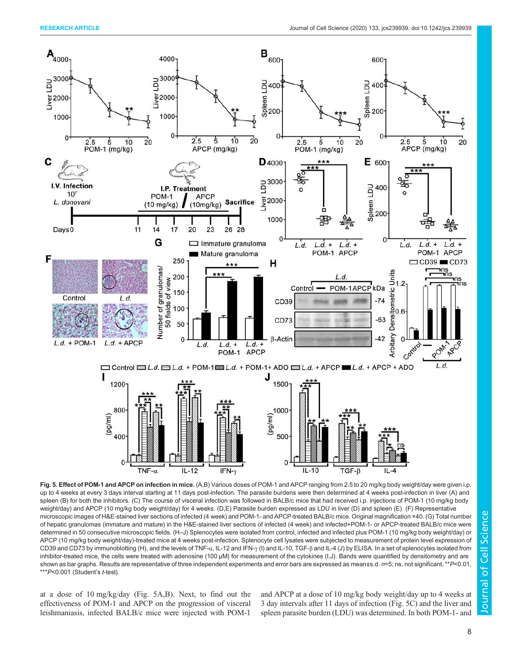![](_page_7_Figure_2.jpeg)

Fig. 5. Effect of POM-1 and APCP on infection in mice. (A,B) Various doses of POM-1 and APCP ranging from 2.5 to 20 mg/kg body weight/day were given i.p. up to 4 weeks at every 3 days interval starting at 11 days post-infection. The parasite burdens were then determined at 4 weeks post-infection in liver (A) and spleen (B) for both the inhibitors. (C) The course of visceral infection was followed in BALB/c mice that had received i.p. injections of POM-1 (10 mg/kg body weight/day) and APCP (10 mg/kg body weight/day) for 4 weeks. (D,E) Parasite burden expressed as LDU in liver (D) and spleen (E). (F) Representative microscopic images of H&E-stained liver sections of infected (4 week) and POM-1- and APCP-treated BALB/c mice. Original magnification ×40. (G) Total number of hepatic granulomas (immature and mature) in the H&E-stained liver sections of infected (4 week) and infected+POM-1- or APCP-treated BALB/c mice were determined in 50 consecutive microscopic fields. (H–J) Splenocytes were isolated from control, infected and infected plus POM-1 (10 mg/kg body weight/day) or APCP (10 mg/kg body weight/day)-treated mice at 4 weeks post-infection. Splenocyte cell lysates were subjected to measurement of protein level expression of CD39 and CD73 by immunoblotting (H), and the levels of TNF-α, IL-12 and IFN-γ (I) and IL-10, TGF-β and IL-4 (J) by ELISA. In a set of splenocytes isolated from inhibitor-treated mice, the cells were treated with adenosine (100 µM) for measurement of the cytokines (I,J). Bands were quantified by densitometry and are shown as bar graphs. Results are representative of three independent experiments and error bars are expressed as mean±s.d.  $n=5$ ; ns, not significant, \*\*P<0.01,  $***P<0.001$  (Student's t-test).

at a dose of 10 mg/kg/day (Fig. 5A,B). Next, to find out the effectiveness of POM-1 and APCP on the progression of visceral leishmaniasis, infected BALB/c mice were injected with POM-1 and APCP at a dose of 10 mg/kg body weight/day up to 4 weeks at 3 day intervals after 11 days of infection (Fig. 5C) and the liver and spleen parasite burden (LDU) was determined. In both POM-1- and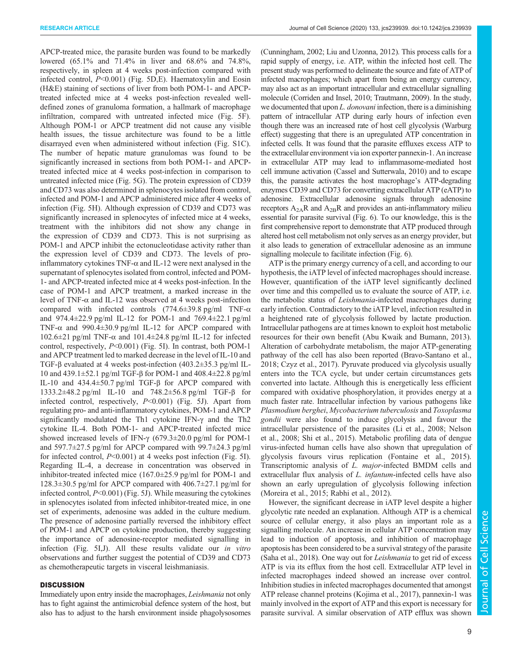APCP-treated mice, the parasite burden was found to be markedly lowered (65.1% and 71.4% in liver and 68.6% and 74.8%, respectively, in spleen at 4 weeks post-infection compared with infected control,  $P<0.001$ ) (Fig. 5D,E). Haematoxylin and Eosin (H&E) staining of sections of liver from both POM-1- and APCPtreated infected mice at 4 weeks post-infection revealed welldefined zones of granuloma formation, a hallmark of macrophage infiltration, compared with untreated infected mice (Fig. 5F). Although POM-1 or APCP treatment did not cause any visible health issues, the tissue architecture was found to be a little disarrayed even when administered without infection (Fig. S1C). The number of hepatic mature granulomas was found to be significantly increased in sections from both POM-1- and APCPtreated infected mice at 4 weeks post-infection in comparison to untreated infected mice (Fig. 5G). The protein expression of CD39 and CD73 was also determined in splenocytes isolated from control, infected and POM-1 and APCP administered mice after 4 weeks of infection (Fig. 5H). Although expression of CD39 and CD73 was significantly increased in splenocytes of infected mice at 4 weeks, treatment with the inhibitors did not show any change in the expression of CD39 and CD73. This is not surprising as POM-1 and APCP inhibit the ectonucleotidase activity rather than the expression level of CD39 and CD73. The levels of proinflammatory cytokines TNF- $\alpha$  and IL-12 were next analysed in the supernatant of splenocytes isolated from control, infected and POM-1- and APCP-treated infected mice at 4 weeks post-infection. In the case of POM-1 and APCP treatment, a marked increase in the level of TNF-α and IL-12 was observed at 4 weeks post-infection compared with infected controls (774.6±39.8 pg/ml TNF-α and 974.4±22.9 pg/ml IL-12 for POM-1 and 769.4±22.1 pg/ml TNF- $\alpha$  and 990.4 $\pm$ 30.9 pg/ml IL-12 for APCP compared with 102.6±21 pg/ml TNF-α and 101.4±24.8 pg/ml IL-12 for infected control, respectively, P<0.001) (Fig. 5I). In contrast, both POM-1 and APCP treatment led to marked decrease in the level of IL-10 and TGF-β evaluated at 4 weeks post-infection (403.2±35.3 pg/ml IL-10 and 439.1±52.1 pg/ml TGF-β for POM-1 and 408.4±22.8 pg/ml IL-10 and 434.4±50.7 pg/ml TGF-β for APCP compared with 1333.2±48.2 pg/ml IL-10 and 748.2±56.8 pg/ml TGF-β for infected control, respectively, P<0.001) (Fig. 5J). Apart from regulating pro- and anti-inflammatory cytokines, POM-1 and APCP significantly modulated the Th1 cytokine IFN-γ and the Th2 cytokine IL-4. Both POM-1- and APCP-treated infected mice showed increased levels of IFN- $\gamma$  (679.3 $\pm$ 20.0 pg/ml for POM-1 and 597.7±27.5 pg/ml for APCP compared with 99.7±24.3 pg/ml for infected control,  $P<0.001$ ) at 4 weeks post infection (Fig. 5I). Regarding IL-4, a decrease in concentration was observed in inhibitor-treated infected mice (167.0±25.9 pg/ml for POM-1 and 128.3±30.5 pg/ml for APCP compared with 406.7±27.1 pg/ml for infected control, P<0.001) (Fig. 5J). While measuring the cytokines in splenocytes isolated from infected inhibitor-treated mice, in one set of experiments, adenosine was added in the culture medium. The presence of adenosine partially reversed the inhibitory effect of POM-1 and APCP on cytokine production, thereby suggesting the importance of adenosine-receptor mediated signalling in infection (Fig. 5I,J). All these results validate our in vitro observations and further suggest the potential of CD39 and CD73 as chemotherapeutic targets in visceral leishmaniasis.

## **DISCUSSION**

Immediately upon entry inside the macrophages, Leishmania not only has to fight against the antimicrobial defence system of the host, but also has to adjust to the harsh environment inside phagolysosomes (Cunningham, 2002; Liu and Uzonna, 2012). This process calls for a rapid supply of energy, i.e. ATP, within the infected host cell. The present study was performed to delineate the source and fate of ATP of infected macrophages; which apart from being an energy currency, may also act as an important intracellular and extracellular signalling molecule (Corriden and Insel, 2010; Trautmann, 2009). In the study, we documented that upon L. donovani infection, there is a diminishing pattern of intracellular ATP during early hours of infection even though there was an increased rate of host cell glycolysis (Warburg effect) suggesting that there is an upregulated ATP concentration in infected cells. It was found that the parasite effluxes excess ATP to the extracellular environment via ion exporter pannexin-1. An increase in extracellular ATP may lead to inflammasome-mediated host cell immune activation (Cassel and Sutterwala, 2010) and to escape this, the parasite activates the host macrophage's ATP-degrading enzymes CD39 and CD73 for converting extracellular ATP (eATP) to adenosine. Extracellular adenosine signals through adenosine receptors  $A_{2A}R$  and  $A_{2B}R$  and provides an anti-inflammatory milieu essential for parasite survival (Fig. 6). To our knowledge, this is the first comprehensive report to demonstrate that ATP produced through altered host cell metabolism not only serves as an energy provider, but it also leads to generation of extracellular adenosine as an immune signalling molecule to facilitate infection (Fig. 6).

ATP is the primary energy currency of a cell, and according to our hypothesis, the iATP level of infected macrophages should increase. However, quantification of the iATP level significantly declined over time and this compelled us to evaluate the source of ATP, i.e. the metabolic status of Leishmania-infected macrophages during early infection. Contradictory to the iATP level, infection resulted in a heightened rate of glycolysis followed by lactate production. Intracellular pathogens are at times known to exploit host metabolic resources for their own benefit (Abu Kwaik and Bumann, 2013). Alteration of carbohydrate metabolism, the major ATP-generating pathway of the cell has also been reported (Bravo-Santano et al., 2018; Czyz et al., 2017). Pyruvate produced via glycolysis usually enters into the TCA cycle, but under certain circumstances gets converted into lactate. Although this is energetically less efficient compared with oxidative phosphorylation, it provides energy at a much faster rate. Intracellular infection by various pathogens like Plasmodium berghei, Mycobacterium tuberculosis and Toxoplasma gondii were also found to induce glycolysis and favour the intracellular persistence of the parasites (Li et al., 2008; Nelson et al., 2008; Shi et al., 2015). Metabolic profiling data of dengue virus-infected human cells have also shown that upregulation of glycolysis favours virus replication (Fontaine et al., 2015). Transcriptomic analysis of L. major-infected BMDM cells and extracellular flux analysis of L. infantum-infected cells have also shown an early upregulation of glycolysis following infection (Moreira et al., 2015; Rabhi et al., 2012).

However, the significant decrease in iATP level despite a higher glycolytic rate needed an explanation. Although ATP is a chemical source of cellular energy, it also plays an important role as a signalling molecule. An increase in cellular ATP concentration may lead to induction of apoptosis, and inhibition of macrophage apoptosis has been considered to be a survival strategy of the parasite (Saha et al., 2018). One way out for Leishmania to get rid of excess ATP is via its efflux from the host cell. Extracellular ATP level in infected macrophages indeed showed an increase over control. Inhibition studies in infected macrophages documented that amongst ATP release channel proteins (Kojima et al., 2017), pannexin-1 was mainly involved in the export of ATP and this export is necessary for parasite survival. A similar observation of ATP efflux was shown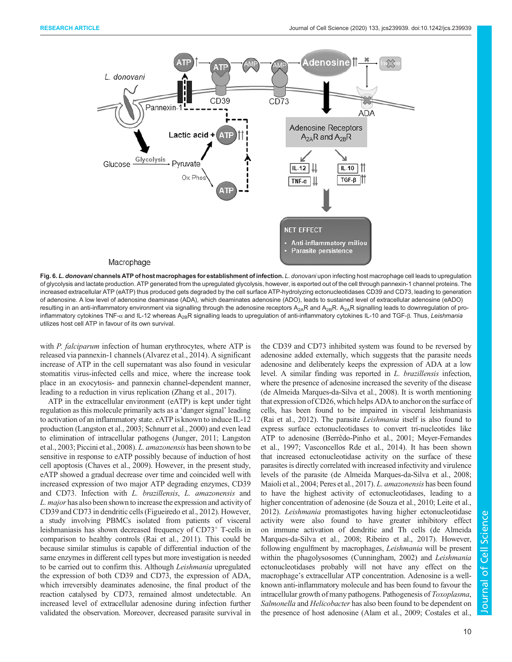![](_page_9_Figure_2.jpeg)

Fig. 6. L. donovani channels ATP of host macrophages for establishment of infection. L. donovani upon infecting host macrophage cell leads to upregulation of glycolysis and lactate production. ATP generated from the upregulated glycolysis, however, is exported out of the cell through pannexin-1 channel proteins. The increased extracellular ATP (eATP) thus produced gets degraded by the cell surface ATP-hydrolyzing ectonucleotidases CD39 and CD73, leading to generation of adenosine. A low level of adenosine deaminase (ADA), which deaminates adenosine (ADO), leads to sustained level of extracellular adenosine (eADO) resulting in an anti-inflammatory environment via signalling through the adenosine receptors  $A_{2A}R$  and  $A_{2B}R$ . A<sub>2A</sub>R signalling leads to downregulation of proinflammatory cytokines TNF-α and IL-12 whereas A<sub>2B</sub>R signalling leads to upregulation of anti-inflammatory cytokines IL-10 and TGF-β. Thus, Leishmania utilizes host cell ATP in favour of its own survival.

with *P. falciparum* infection of human erythrocytes, where ATP is released via pannexin-1 channels (Alvarez et al., 2014). A significant increase of ATP in the cell supernatant was also found in vesicular stomatitis virus-infected cells and mice, where the increase took place in an exocytosis- and pannexin channel-dependent manner, leading to a reduction in virus replication (Zhang et al., 2017).

ATP in the extracellular environment (eATP) is kept under tight regulation as this molecule primarily acts as a 'danger signal' leading to activation of an inflammatory state. eATP is known to induce IL-12 production (Langston et al., 2003; Schnurr et al., 2000) and even lead to elimination of intracellular pathogens (Junger, 2011; Langston et al., 2003; Piccini et al., 2008). L. amazonensis has been shown to be sensitive in response to eATP possibly because of induction of host cell apoptosis (Chaves et al., 2009). However, in the present study, eATP showed a gradual decrease over time and coincided well with increased expression of two major ATP degrading enzymes, CD39 and CD73. Infection with L. brazillensis, L. amazonensis and L. major has also been shown to increase the expression and activity of CD39 and CD73 in dendritic cells (Figueiredo et al., 2012). However, a study involving PBMCs isolated from patients of visceral leishmaniasis has shown decreased frequency of CD73<sup>+</sup> T-cells in comparison to healthy controls (Rai et al., 2011). This could be because similar stimulus is capable of differential induction of the same enzymes in different cell types but more investigation is needed to be carried out to confirm this. Although Leishmania upregulated the expression of both CD39 and CD73, the expression of ADA, which irreversibly deaminates adenosine, the final product of the reaction catalysed by CD73, remained almost undetectable. An increased level of extracellular adenosine during infection further validated the observation. Moreover, decreased parasite survival in the CD39 and CD73 inhibited system was found to be reversed by adenosine added externally, which suggests that the parasite needs adenosine and deliberately keeps the expression of ADA at a low level. A similar finding was reported in L. brazillensis infection, where the presence of adenosine increased the severity of the disease (de Almeida Marques-da-Silva et al., 2008). It is worth mentioning that expression of CD26, which helps ADA to anchor on the surface of cells, has been found to be impaired in visceral leishmaniasis (Rai et al., 2012). The parasite *Leishmania* itself is also found to express surface ectonucleotidases to convert tri-nucleotides like ATP to adenosine (Berrêdo-Pinho et al., 2001; Meyer-Fernandes et al., 1997; Vasconcellos Rde et al., 2014). It has been shown that increased ectonucleotidase activity on the surface of these parasites is directly correlated with increased infectivity and virulence levels of the parasite (de Almeida Marques-da-Silva et al., 2008; Maioli et al., 2004; Peres et al., 2017). L. amazonensis has been found to have the highest activity of ectonucleotidases, leading to a higher concentration of adenosine (de Souza et al., 2010; Leite et al., 2012). Leishmania promastigotes having higher ectonucleotidase activity were also found to have greater inhibitory effect on immune activation of dendritic and Th cells (de Almeida Marques-da-Silva et al., 2008; Ribeiro et al., 2017). However, following engulfment by macrophages, Leishmania will be present within the phagolysosomes (Cunningham, 2002) and *Leishmania* ectonucleotidases probably will not have any effect on the macrophage's extracellular ATP concentration. Adenosine is a wellknown anti-inflammatory molecule and has been found to favour the intracellular growth of many pathogens. Pathogenesis of Toxoplasma, Salmonella and Helicobacter has also been found to be dependent on the presence of host adenosine (Alam et al., 2009; Costales et al.,

Cell Science

10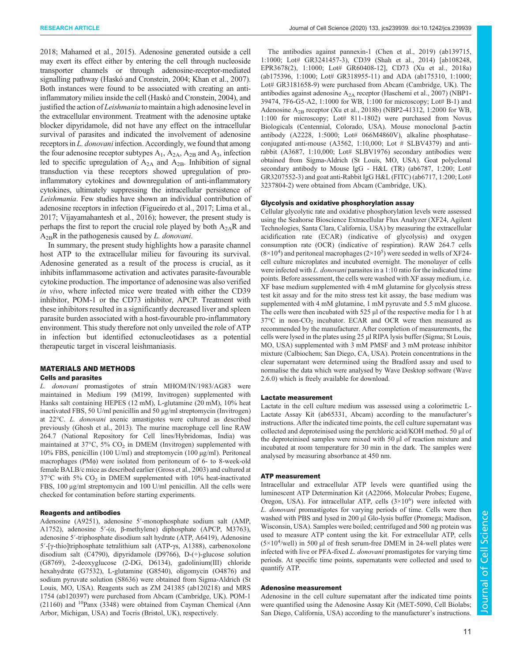2018; Mahamed et al., 2015). Adenosine generated outside a cell may exert its effect either by entering the cell through nucleoside transporter channels or through adenosine-receptor-mediated signalling pathway (Haskó and Cronstein, 2004; Khan et al., 2007). Both instances were found to be associated with creating an antiinflammatory milieu inside the cell (Haskó and Cronstein, 2004), and justified the action of *Leishmania* to maintain a high adenosine level in the extracellular environment. Treatment with the adenosine uptake blocker dipyridamole, did not have any effect on the intracellular survival of parasites and indicated the involvement of adenosine receptors in L. donovani infection. Accordingly, we found that among the four adenosine receptor subtypes  $A_1$ ,  $A_{2A}$ ,  $A_{2B}$  and  $A_3$ , infection led to specific upregulation of  $A_{2A}$  and  $A_{2B}$ . Inhibition of signal transduction via these receptors showed upregulation of proinflammatory cytokines and downregulation of anti-inflammatory cytokines, ultimately suppressing the intracellular persistence of Leishmania. Few studies have shown an individual contribution of adenosine receptors in infection (Figueiredo et al., 2017; Lima et al., 2017; Vijayamahantesh et al., 2016); however, the present study is perhaps the first to report the crucial role played by both  $A_{2A}R$  and  $A_{2B}R$  in the pathogenesis caused by L. donovani.

In summary, the present study highlights how a parasite channel host ATP to the extracellular milieu for favouring its survival. Adenosine generated as a result of the process is crucial, as it inhibits inflammasome activation and activates parasite-favourable cytokine production. The importance of adenosine was also verified in vivo, where infected mice were treated with either the CD39 inhibitor, POM-1 or the CD73 inhibitor, APCP. Treatment with these inhibitors resulted in a significantly decreased liver and spleen parasite burden associated with a host-favourable pro-inflammatory environment. This study therefore not only unveiled the role of ATP in infection but identified ectonucleotidases as a potential therapeutic target in visceral leishmaniasis.

## MATERIALS AND METHODS

## Cells and parasites

L. donovani promastigotes of strain MHOM/IN/1983/AG83 were maintained in Medium 199 (M199, Invitrogen) supplemented with Hanks salt containing HEPES (12 mM), L-glutamine (20 mM), 10% heat inactivated FBS, 50 U/ml penicillin and 50 µg/ml streptomycin (Invitrogen) at 22°C. L. donovani axenic amastigotes were cultured as described previously (Ghosh et al., 2013). The murine macrophage cell line RAW 264.7 (National Repository for Cell lines/Hybridomas, India) was maintained at  $37^{\circ}$ C,  $5\%$  CO<sub>2</sub> in DMEM (Invitrogen) supplemented with 10% FBS, penicillin (100 U/ml) and streptomycin (100 µg/ml). Peritoneal macrophages (PMφ) were isolated from peritoneum of 6- to 8-week-old female BALB/c mice as described earlier (Gross et al., 2003) and cultured at 37°C with 5% CO<sup>2</sup> in DMEM supplemented with 10% heat-inactivated FBS, 100 μg/ml streptomycin and 100 U/ml penicillin. All the cells were checked for contamination before starting experiments.

#### Reagents and antibodies

Adenosine (A9251), adenosine 5′-monophosphate sodium salt (AMP, A1752), adenosine 5′-(α, β-methylene) diphosphate (APCP, M3763), adenosine 5′-triphosphate disodium salt hydrate (ATP, A6419), Adenosine 5′-[γ-thio]triphosphate tetralithium salt (ATP-γs, A1388), carbenoxolone disodium salt (C4790), dipyridamole (D9766), D-(+)-glucose solution (G8769), 2-deoxyglucose (2-DG, D6134), gadolinium(III) chloride hexahydrate (G7532), L-glutamine (G8540), oligomycin (O4876) and sodium pyruvate solution (S8636) were obtained from Sigma-Aldrich (St Louis, MO, USA). Reagents such as ZM 241385 (ab120218) and MRS 1754 (ab120397) were purchased from Abcam (Cambridge, UK). POM-1 (21160) and <sup>10</sup>Panx (3348) were obtained from Cayman Chemical (Ann Arbor, Michigan, USA) and Tocris (Bristol, UK), respectively.

The antibodies against pannexin-1 (Chen et al., 2019) (ab139715, 1:1000; Lot# GR3241457-3), CD39 (Shah et al., 2014) [ab108248, EPR3678(2), 1:1000; Lot# GR60408-12], CD73 (Xu et al., 2018a) (ab175396, 1:1000; Lot# GR318955-11) and ADA (ab175310, 1:1000; Lot# GR3181658-9) were purchased from Abcam (Cambridge, UK). The antibodies against adenosine  $A_{2A}$  receptor (Haschemi et al., 2007) (NBP1-39474, 7F6-G5-A2, 1:1000 for WB, 1:100 for microscopy; Lot# B-1) and Adenosine  $A_{2B}$  receptor (Xu et al., 2018b) (NBP2-41312, 1:2000 for WB, 1:100 for microscopy; Lot# 811-1802) were purchased from Novus Biologicals (Centennial, Colorado, USA). Mouse monoclonal β-actin antibody (A2228, 1:5000; Lot# 066M4860V), alkaline phosphatase– conjugated anti-mouse (A3562, 1:10,000; Lot # SLBV4379) and antirabbit (A3687, 1:10,000; Lot# SLBV1976) secondary antibodies were obtained from Sigma-Aldrich (St Louis, MO, USA). Goat polyclonal secondary antibody to Mouse IgG - H&L (TR) (ab6787, 1:200; Lot# GR3207552-3) and goat anti-Rabbit IgG H&L (FITC) (ab6717, 1:200; Lot# 3237804-2) were obtained from Abcam (Cambridge, UK).

#### Glycolysis and oxidative phosphorylation assay

Cellular glycolytic rate and oxidative phosphorylation levels were assessed using the Seahorse Bioscience Extracellular Flux Analyzer (XF24, Agilent Technologies, Santa Clara, California, USA) by measuring the extracellular acidification rate (ECAR) (indicative of glycolysis) and oxygen consumption rate (OCR) (indicative of respiration). RAW 264.7 cells  $(8\times10^{4})$  and peritoneal macrophages  $(2\times10^{5})$  were seeded in wells of XF24cell culture microplates and incubated overnight. The monolayer of cells were infected with L. donovani parasites in a 1:10 ratio for the indicated time points. Before assessment, the cells were washed with XF assay medium, i.e. XF base medium supplemented with 4 mM glutamine for glycolysis stress test kit assay and for the mito stress test kit assay, the base medium was supplemented with 4 mM glutamine, 1 mM pyruvate and 5.5 mM glucose. The cells were then incubated with 525 μl of the respective media for 1 h at  $37^{\circ}$ C in non-CO<sub>2</sub> incubator. ECAR and OCR were then measured as recommended by the manufacturer. After completion of measurements, the cells were lysed in the plates using 25 µl RIPA lysis buffer (Sigma; St Louis, MO, USA) supplemented with 3 mM PMSF and 3 mM protease inhibitor mixture (Calbiochem; San Diego, CA, USA). Protein concentrations in the clear supernatant were determined using the Bradford assay and used to normalise the data which were analysed by Wave Desktop software (Wave 2.6.0) which is freely available for download.

#### Lactate measurement

Lactate in the cell culture medium was assessed using a colorimetric L-Lactate Assay Kit (ab65331, Abcam) according to the manufacturer's instructions. After the indicated time points, the cell culture supernatant was collected and deproteinised using the perchloric acid/KOH method. 50 μl of the deproteinised samples were mixed with 50 μl of reaction mixture and incubated at room temperature for 30 min in the dark. The samples were analysed by measuring absorbance at 450 nm.

#### ATP measurement

Intracellular and extracellular ATP levels were quantified using the luminescent ATP Determination Kit (A22066, Molecular Probes; Eugene, Oregon, USA). For intracellular ATP, cells  $(3\times10^6)$  were infected with L. donovani promastigotes for varying periods of time. Cells were then washed with PBS and lysed in 200 µl Glo-lysis buffer (Promega; Madison, Wisconsin, USA). Samples were boiled; centrifuged and 500 ng protein was used to measure ATP content using the kit. For extracellular ATP, cells  $(5 \times 10^4$ /well) in 500 µl of fresh serum-free DMEM in 24-well plates were infected with live or PFA-fixed L. donovani promastigotes for varying time periods. At specific time points, supernatants were collected and used to quantify ATP.

#### Adenosine measurement

Adenosine in the cell culture supernatant after the indicated time points were quantified using the Adenosine Assay Kit (MET-5090, Cell Biolabs; San Diego, California, USA) according to the manufacturer's instructions.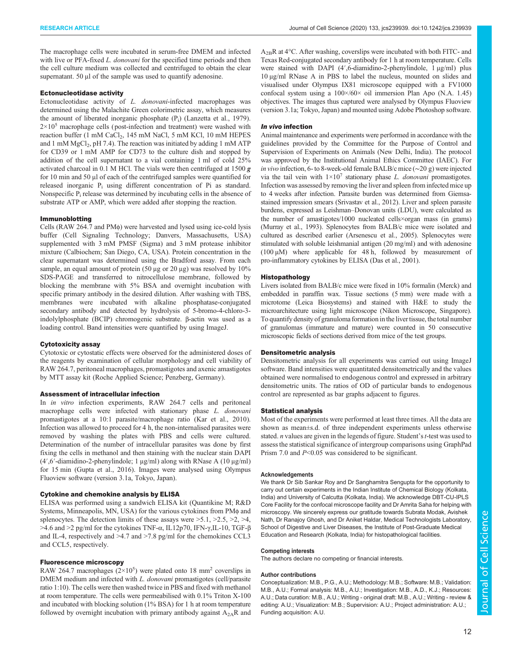The macrophage cells were incubated in serum-free DMEM and infected with live or PFA-fixed L. donovani for the specified time periods and then the cell culture medium was collected and centrifuged to obtain the clear supernatant. 50 μl of the sample was used to quantify adenosine.

#### Ectonucleotidase activity

Ectonucleotidase activity of L. donovani-infected macrophages was determined using the Malachite Green colorimetric assay, which measures the amount of liberated inorganic phosphate  $(P_i)$  (Lanzetta et al., 1979).  $2\times10^5$  macrophage cells (post-infection and treatment) were washed with reaction buffer (1 mM CaCl<sub>2</sub>, 145 mM NaCl, 5 mM KCl, 10 mM HEPES and 1 mM  $MgCl_2$ , pH 7.4). The reaction was initiated by adding 1 mM ATP for CD39 or 1 mM AMP for CD73 to the culture dish and stopped by addition of the cell supernatant to a vial containing 1 ml of cold 25% activated charcoal in 0.1 M HCl. The vials were then centrifuged at 1500 g for 10 min and 50 μl of each of the centrifuged samples were quantified for released inorganic P<sup>i</sup> using different concentration of Pi as standard. Nonspecific  $P_i$  release was determined by incubating cells in the absence of substrate ATP or AMP, which were added after stopping the reaction.

#### Immunoblotting

Cells (RAW 264.7 and PMφ) were harvested and lysed using ice-cold lysis buffer (Cell Signaling Technology; Danvers, Massachusetts, USA) supplemented with 3 mM PMSF (Sigma) and 3 mM protease inhibitor mixture (Calbiochem; San Diego, CA, USA). Protein concentration in the clear supernatant was determined using the Bradford assay. From each sample, an equal amount of protein (50 μg or 20 μg) was resolved by 10% SDS-PAGE and transferred to nitrocellulose membrane, followed by blocking the membrane with 5% BSA and overnight incubation with specific primary antibody in the desired dilution. After washing with TBS, membranes were incubated with alkaline phosphatase-conjugated secondary antibody and detected by hydrolysis of 5-bromo-4-chloro-3 indolylphosphate (BCIP) chromogenic substrate. β-actin was used as a loading control. Band intensities were quantified by using ImageJ.

#### Cytotoxicity assay

Cytotoxic or cytostatic effects were observed for the administered doses of the reagents by examination of cellular morphology and cell viability of RAW 264.7, peritoneal macrophages, promastigotes and axenic amastigotes by MTT assay kit (Roche Applied Science; Penzberg, Germany).

#### Assessment of intracellular infection

In in vitro infection experiments, RAW 264.7 cells and peritoneal macrophage cells were infected with stationary phase L. donovani promastigotes at a 10:1 parasite/macrophage ratio (Kar et al., 2010). Infection was allowed to proceed for 4 h, the non-internalised parasites were removed by washing the plates with PBS and cells were cultured. Determination of the number of intracellular parasites was done by first fixing the cells in methanol and then staining with the nuclear stain DAPI (4′,6′-diamidino-2-phenylindole; 1 μg/ml) along with RNase A (10 μg/ml) for 15 min (Gupta et al., 2016). Images were analysed using Olympus Fluoview software (version 3.1a, Tokyo, Japan).

### Cytokine and chemokine analysis by ELISA

ELISA was performed using a sandwich ELISA kit (Quantikine M; R&D Systems, Minneapolis, MN, USA) for the various cytokines from PMφ and splenocytes. The detection limits of these assays were  $>5.1$ ,  $>2.5$ ,  $>2$ ,  $>4$ , >4.6 and >2 pg/ml for the cytokines TNF-α, IL12p70, IFN-γ,IL-10, TGF-β and IL-4, respectively and >4.7 and >7.8 pg/ml for the chemokines CCL3 and CCL5, respectively.

#### Fluorescence microscopy

RAW 264.7 macrophages  $(2\times10^5)$  were plated onto 18 mm<sup>2</sup> coverslips in DMEM medium and infected with L. donovani promastigotes (cell/parasite ratio 1:10). The cells were then washed twice in PBS and fixed with methanol at room temperature. The cells were permeabilised with 0.1% Triton X-100 and incubated with blocking solution (1% BSA) for 1 h at room temperature followed by overnight incubation with primary antibody against  $A_{2A}R$  and  $A_{2B}R$  at 4 $\rm ^{o}C$ . After washing, coverslips were incubated with both FITC- and Texas Red-conjugated secondary antibody for 1 h at room temperature. Cells were stained with DAPI (4′,6-diamidino-2-phenylindole, 1 μg/ml) plus 10 μg/ml RNase A in PBS to label the nucleus, mounted on slides and visualised under Olympus IX81 microscope equipped with a FV1000 confocal system using a  $100 \times 60 \times$  oil immersion Plan Apo (N.A. 1.45) objectives. The images thus captured were analysed by Olympus Fluoview (version 3.1a; Tokyo, Japan) and mounted using Adobe Photoshop software.

#### In vivo infection

Animal maintenance and experiments were performed in accordance with the guidelines provided by the Committee for the Purpose of Control and Supervision of Experiments on Animals (New Delhi, India). The protocol was approved by the Institutional Animal Ethics Committee (IAEC). For in vivo infection, 6- to 8-week-old female BALB/c mice (∼20 g) were injected via the tail vein with  $1 \times 10^7$  stationary phase *L. donovani* promastigotes. Infection was assessed by removing the liver and spleen from infected mice up to 4 weeks after infection. Parasite burden was determined from Giemsastained impression smears (Srivastav et al., 2012). Liver and spleen parasite burdens, expressed as Leishman–Donovan units (LDU), were calculated as the number of amastigotes/1000 nucleated cells×organ mass (in grams) (Murray et al., 1993). Splenocytes from BALB/c mice were isolated and cultured as described earlier (Arsenescu et al., 2005). Splenocytes were stimulated with soluble leishmanial antigen (20 mg/ml) and with adenosine (100 µM) where applicable for 48 h, followed by measurement of pro-inflammatory cytokines by ELISA (Das et al., 2001).

#### Histopathology

Livers isolated from BALB/c mice were fixed in 10% formalin (Merck) and embedded in paraffin wax. Tissue sections (5 mm) were made with a microtome (Leica Biosystems) and stained with H&E to study the microarchitecture using light microscope (Nikon Microscope, Singapore). To quantify density of granuloma formation in the liver tissue, the total number of granulomas (immature and mature) were counted in 50 consecutive microscopic fields of sections derived from mice of the test groups.

#### Densitometric analysis

Densitometric analysis for all experiments was carried out using ImageJ software. Band intensities were quantitated densitometrically and the values obtained were normalised to endogenous control and expressed in arbitrary densitometric units. The ratios of OD of particular bands to endogenous control are represented as bar graphs adjacent to figures.

#### Statistical analysis

Most of the experiments were performed at least three times. All the data are shown as mean±s.d. of three independent experiments unless otherwise stated.  $n$  values are given in the legends of figure. Student's  $t$ -test was used to assess the statistical significance of intergroup comparisons using GraphPad Prism 7.0 and  $P<0.05$  was considered to be significant.

#### Acknowledgements

We thank Dr Sib Sankar Roy and Dr Sanghamitra Sengupta for the opportunity to carry out certain experiments in the Indian Institute of Chemical Biology (Kolkata, India) and University of Calcutta (Kolkata, India). We acknowledge DBT-CU-IPLS Core Facility for the confocal microscope facility and Dr Amrita Saha for helping with microscopy. We sincerely express our gratitude towards Subrata Modak, Avishek Nath, Dr Ranajoy Ghosh, and Dr Aniket Haldar, Medical Technologists Laboratory, School of Digestive and Liver Diseases, the Institute of Post-Graduate Medical Education and Research (Kolkata, India) for histopathological facilities.

#### Competing interests

The authors declare no competing or financial interests.

#### Author contributions

Conceptualization: M.B., P.G., A.U.; Methodology: M.B.; Software: M.B.; Validation: M.B., A.U.; Formal analysis: M.B., A.U.; Investigation: M.B., A.D., K.J.; Resources: A.U.; Data curation: M.B., A.U.; Writing - original draft: M.B., A.U.; Writing - review & editing: A.U.; Visualization: M.B.; Supervision: A.U.; Project administration: A.U.; Funding acquisition: A.U.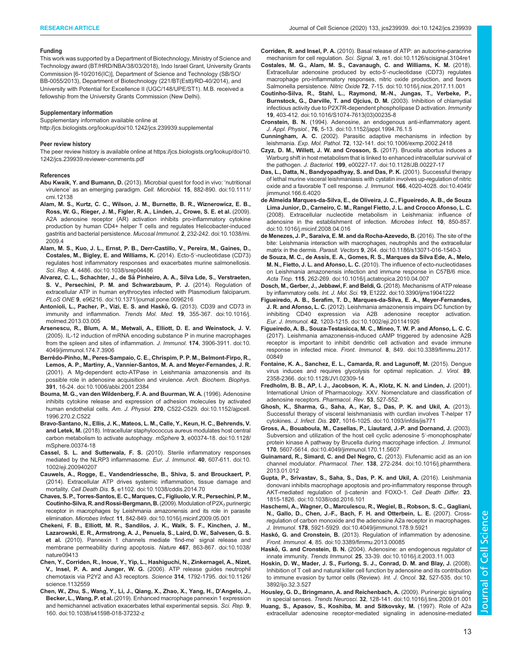#### Funding

This work was supported by a Department of Biotechnology, Ministry of Science and Technology award (BT/HRD/NBA/38/03/2018), Indo Israel Grant, University Grants Commission [6-10/2016(IC)], Department of Science and Technology (SB/SO/ BB-0055/2013), Department of Biotechnology (221/BT(Estt)/RD-40/2014), and University with Potential for Excellence II (UGC/148/UPE/ST1). M.B. received a fellowship from the University Grants Commission (New Delhi).

#### Supplementary information

Supplementary information available online at http://jcs.biologists.org/lookup/doi/10.1242/jcs.239939.supplemental

#### Peer review history

The peer review history is available online at https://jcs.biologists.org/lookup/doi/10. 1242/jcs.239939.reviewer-comments.pdf

#### References

- Abu Kwaik, Y. and Bumann, D. (2013). Microbial quest for food in vivo: 'nutritional virulence' as an emerging paradigm. Cell. Microbiol. 15, 882-890. doi:10.1111/ cmi.12138
- Alam, M. S., Kurtz, C. C., Wilson, J. M., Burnette, B. R., Wiznerowicz, E. B., Ross, W. G., Rieger, J. M., Figler, R. A., Linden, J., Crowe, S. E. et al. (2009). A2A adenosine receptor (AR) activation inhibits pro-inflammatory cytokine production by human CD4+ helper T cells and regulates Helicobacter-induced gastritis and bacterial persistence. Mucosal Immunol. 2, 232-242. doi:10.1038/mi. 2009.4
- Alam, M. S., Kuo, J. L., Ernst, P. B., Derr-Castillo, V., Pereira, M., Gaines, D., Costales, M., Bigley, E. and Williams, K. (2014). Ecto-5′-nucleotidase (CD73) regulates host inflammatory responses and exacerbates murine salmonellosis. Sci. Rep. 4, 4486. doi:10.1038/srep04486
- Alvarez, C. L., Schachter, J., de Sá Pinheiro, A. A., Silva Lde, S., Verstraeten, S. V., Persechini, P. M. and Schwarzbaum, P. J. (2014). Regulation of extracellular ATP in human erythrocytes infected with Plasmodium falciparum. PLoS ONE 9, e96216. doi:10.1371/journal.pone.0096216
- Antonioli, L., Pacher, P., Vizi, E. S. and Haskó, G. (2013). CD39 and CD73 in immunity and inflammation. Trends Mol. Med. 19, 355-367. doi:10.1016/j. molmed.2013.03.005
- Arsenescu, R., Blum, A. M., Metwali, A., Elliott, D. E. and Weinstock, J. V. (2005). IL-12 induction of mRNA encoding substance P in murine macrophages from the spleen and sites of inflammation. J. Immunol. 174, 3906-3911. doi:10. 4049/jimmunol.174.7.3906
- Berrêdo-Pinho, M., Peres-Sampaio, C. E., Chrispim, P. P. M., Belmont-Firpo, R., Lemos, A. P., Martiny, A., Vannier-Santos, M. A. and Meyer-Fernandes, J. R. (2001). A Mg-dependent ecto-ATPase in Leishmania amazonensis and its possible role in adenosine acquisition and virulence. Arch. Biochem. Biophys. 391, 16-24. doi:10.1006/abbi.2001.2384
- Bouma, M. G., van den Wildenberg, F. A. and Buurman, W. A. (1996). Adenosine inhibits cytokine release and expression of adhesion molecules by activated human endothelial cells. Am. J. Physiol. 270, C522-C529. doi:10.1152/ajpcell. 1996.270.2.C522
- Bravo-Santano, N., Ellis, J. K., Mateos, L. M., Calle, Y., Keun, H. C., Behrends, V. and Letek, M. (2018). Intracellular staphylococcus aureus modulates host central carbon metabolism to activate autophagy. mSphere 3, e00374-18. doi:10.1128/ mSphere.00374-18
- Cassel, S. L. and Sutterwala, F. S. (2010). Sterile inflammatory responses mediated by the NLRP3 inflammasome. Eur. J. Immunol. 40, 607-611. doi:10. 1002/eji.200940207
- Cauwels, A., Rogge, E., Vandendriessche, B., Shiva, S. and Brouckaert, P. (2014). Extracellular ATP drives systemic inflammation, tissue damage and mortality. Cell Death Dis. 5, e1102. doi:10.1038/cddis.2014.70
- Chaves, S. P., Torres-Santos, E. C., Marques, C., Figliuolo, V. R., Persechini, P. M., Coutinho-Silva, R. and Rossi-Bergmann, B. (2009). Modulation of  $P2X<sub>7</sub>$  purinergic receptor in macrophages by Leishmania amazonensis and its role in parasite elimination. Microbes Infect. 11, 842-849. doi:10.1016/j.micinf.2009.05.001
- Chekeni, F. B., Elliott, M. R., Sandilos, J. K., Walk, S. F., Kinchen, J. M., Lazarowski, E. R., Armstrong, A. J., Penuela, S., Laird, D. W., Salvesen, G. S. et al. (2010). Pannexin 1 channels mediate 'find-me' signal release and membrane permeability during apoptosis. Nature 467, 863-867. doi:10.1038/ nature09413
- Chen, Y., Corriden, R., Inoue, Y., Yip, L., Hashiguchi, N., Zinkernagel, A., Nizet, V., Insel, P. A. and Junger, W. G. (2006). ATP release guides neutrophil chemotaxis via P2Y2 and A3 receptors. Science 314, 1792-1795. doi:10.1126/ science.1132559
- Chen, W., Zhu, S., Wang, Y., Li, J., Qiang, X., Zhao, X., Yang, H., D'Angelo, J., Becker, L., Wang, P. et al. (2019). Enhanced macrophage pannexin 1 expression and hemichannel activation exacerbates lethal experimental sepsis. Sci. Rep. 9, 160. doi:10.1038/s41598-018-37232-z

Corriden, R. and Insel, P. A. (2010). Basal release of ATP: an autocrine-paracrine mechanism for cell regulation. Sci. Signal. 3, re1. doi:10.1126/scisignal.3104re1

- Costales, M. G., Alam, M. S., Cavanaugh, C. and Williams, K. M. (2018). Extracellular adenosine produced by ecto-5′-nucleotidase (CD73) regulates macrophage pro-inflammatory responses, nitric oxide production, and favors Salmonella persistence. Nitric Oxide 72, 7-15. doi:10.1016/j.niox.2017.11.001
- Coutinho-Silva, R., Stahl, L., Raymond, M.-N., Jungas, T., Verbeke, P., Burnstock, G., Darville, T. and Ojcius, D. M. (2003). Inhibition of chlamydial infectious activity due to P2X7R-dependent phospholipase D activation. Immunity 19, 403-412. doi:10.1016/S1074-7613(03)00235-8
- Cronstein, B. N. (1994). Adenosine, an endogenous anti-inflammatory agent. J. Appl. Physiol., 76, 5-13. doi:10.1152/jappl.1994.76.1.5
- Cunningham, A. C. (2002). Parasitic adaptive mechanisms in infection by leishmania. Exp. Mol. Pathol. 72, 132-141. doi:10.1006/exmp.2002.2418
- Czyz, D. M., Willett, J. W. and Crosson, S. (2017). Brucella abortus induces a Warburg shift in host metabolism that is linked to enhanced intracellular survival of the pathogen. J. Bacteriol. 199, e00227-17. doi:10.1128/JB.00227-17
- Das, L., Datta, N., Bandyopadhyay, S. and Das, P. K. (2001). Successful therapy of lethal murine visceral leishmaniasis with cystatin involves up-regulation of nitric oxide and a favorable T cell response. J. Immunol. 166, 4020-4028. doi:10.4049/ jimmunol.166.6.4020
- de Almeida Marques-da-Silva, E., de Oliveira, J. C., Figueiredo, A. B., de Souza Lima Junior, D., Carneiro, C. M., Rangel Fietto, J. L. and Crocco Afonso, L. C. (2008). Extracellular nucleotide metabolism in Leishmania: influence of adenosine in the establishment of infection. Microbes Infect. 10, 850-857. doi:10.1016/j.micinf.2008.04.016
- de Menezes, J. P., Saraiva, E. M. and da Rocha-Azevedo, B. (2016). The site of the bite: Leishmania interaction with macrophages, neutrophils and the extracellular matrix in the dermis. Parasit. Vectors 9, 264. doi:10.1186/s13071-016-1540-3
- de Souza, M. C., de Assis, E. A., Gomes, R. S., Marques da Silva Ede, A., Melo, M. N., Fietto, J. L. and Afonso, L. C. (2010). The influence of ecto-nucleotidases on Leishmania amazonensis infection and immune response in C57B/6 mice. Acta Trop. 115, 262-269. doi:10.1016/j.actatropica.2010.04.007
- Dosch, M., Gerber, J., Jebbawi, F. and Beldi, G. (2018). Mechanisms of ATP release by inflammatory cells. Int. J. Mol. Sci. 19, E1222. doi:10.3390/ijms19041222
- Figueiredo, A. B., Serafim, T. D., Marques-da-Silva, E. A., Meyer-Fernandes, J. R. and Afonso, L. C. (2012). Leishmania amazonensis impairs DC function by inhibiting CD40 expression via A2B adenosine receptor activation. Eur. J. Immunol. 42, 1203-1215. doi:10.1002/eji.201141926
- Figueiredo, A. B., Souza-Testasicca, M. C., Mineo, T. W. P. and Afonso, L. C. C. (2017). Leishmania amazonensis-induced cAMP triggered by adenosine A2B receptor is important to inhibit dendritic cell activation and evade immune response in infected mice. Front. Immunol. 8, 849. doi:10.3389/fimmu.2017. 00849
- Fontaine, K. A., Sanchez, E. L., Camarda, R. and Lagunoff, M. (2015). Dengue virus induces and requires glycolysis for optimal replication. J. Virol. 89, 2358-2366. doi:10.1128/JVI.02309-14
- Fredholm, B. B., AP, I. J., Jacobson, K. A., Klotz, K. N. and Linden, J. (2001). International Union of Pharmacology. XXV. Nomenclature and classification of adenosine receptors. Pharmacol. Rev. 53, 527-552.
- Ghosh, K., Sharma, G., Saha, A., Kar, S., Das, P. K. and Ukil, A. (2013). Successful therapy of visceral leishmaniasis with curdlan involves T-helper 17 cytokines. J. Infect. Dis. 207, 1016-1025. doi:10.1093/infdis/jis771
- Gross, A., Bouaboula, M., Casellas, P., Liautard, J.-P. and Dornand, J. (2003). Subversion and utilization of the host cell cyclic adenosine 5′-monophosphate/ protein kinase A pathway by Brucella during macrophage infection. J. Immunol. 170, 5607-5614. doi:10.4049/jimmunol.170.11.5607
- Guinamard, R., Simard, C. and Del Negro, C. (2013). Flufenamic acid as an ion channel modulator. Pharmacol. Ther. 138, 272-284. doi:10.1016/j.pharmthera. 2013.01.012
- Gupta, P., Srivastav, S., Saha, S., Das, P. K. and Ukil, A. (2016). Leishmania donovani inhibits macrophage apoptosis and pro-inflammatory response through AKT-mediated regulation of β-catenin and FOXO-1. Cell Death Differ. 23, 1815-1826. doi:10.1038/cdd.2016.101
- Haschemi, A., Wagner, O., Marculescu, R., Wegiel, B., Robson, S. C., Gagliani, N., Gallo, D., Chen, J.-F., Bach, F. H. and Otterbein, L. E. (2007). Crossregulation of carbon monoxide and the adenosine A2a receptor in macrophages. J. Immunol. 178, 5921-5929. doi:10.4049/jimmunol.178.9.5921
- Haskó, G. and Cronstein, B. (2013). Regulation of inflammation by adenosine. Front. Immunol. 4, 85. doi:10.3389/fimmu.2013.00085
- Haskó, G. and Cronstein, B. N. (2004). Adenosine: an endogenous regulator of innate immunity. Trends Immunol. 25, 33-39. doi:10.1016/j.it.2003.11.003
- Hoskin, D. W., Mader, J. S., Furlong, S. J., Conrad, D. M. and Blay, J. (2008). Inhibition of T cell and natural killer cell function by adenosine and its contribution to immune evasion by tumor cells (Review). Int. J. Oncol. 32, 527-535. doi:10. 3892/ijo.32.3.527
- Housley, G. D., Bringmann, A. and Reichenbach, A. (2009). Purinergic signaling in special senses. Trends Neurosci. 32, 128-141. doi:10.1016/j.tins.2009.01.001
- Huang, S., Apasov, S., Koshiba, M. and Sitkovsky, M. (1997). Role of A2a extracellular adenosine receptor-mediated signaling in adenosine-mediated